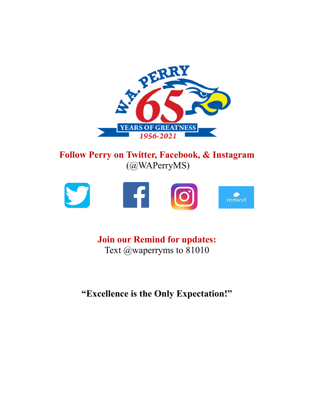

# **Follow Perry on Twitter, Facebook, & Instagram** (@WAPerryMS)



# **Join our Remind for updates:** Text @waperryms to 81010

**"Excellence is the Only Expectation!"**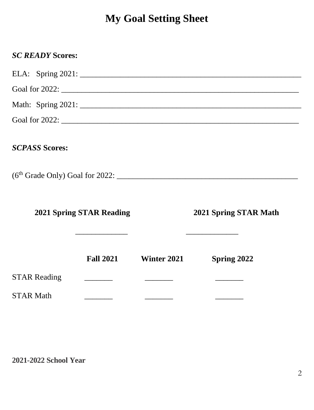# **My Goal Setting Sheet**

| <b>SC READY Scores:</b>         |                          |             |                                                                       |  |
|---------------------------------|--------------------------|-------------|-----------------------------------------------------------------------|--|
|                                 |                          |             |                                                                       |  |
|                                 |                          |             |                                                                       |  |
|                                 |                          |             |                                                                       |  |
|                                 |                          |             |                                                                       |  |
| <b>SCPASS Scores:</b>           |                          |             |                                                                       |  |
|                                 |                          |             |                                                                       |  |
|                                 |                          |             |                                                                       |  |
| <b>2021 Spring STAR Reading</b> |                          |             | 2021 Spring STAR Math<br>the control of the control of the control of |  |
|                                 | <b>Fall 2021</b>         | Winter 2021 | Spring 2022                                                           |  |
| <b>STAR Reading</b>             | <b>Contract Contract</b> |             |                                                                       |  |
| <b>STAR Math</b>                |                          |             |                                                                       |  |

**2021-2022 School Year**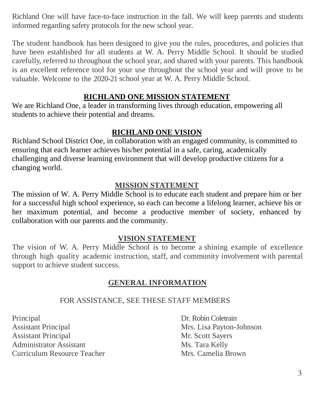Richland One will have face-to-face instruction in the fall. We will keep parents and students informed regarding safety protocols for the new school year.

The student handbook has been designed to give you the rules, procedures, and policies that have been established for all students at W. A. Perry Middle School. It should be studied carefully, referred to throughout the school year, and shared with your parents. This handbook is an excellent reference tool for your use throughout the school year and will prove to be valuable. Welcome to the 2020-21 school year at W. A. Perry Middle School.

#### **RICHLAND ONE MISSION STATEMENT**

We are Richland One, a leader in transforming lives through education, empowering all students to achieve their potential and dreams.

#### **RICHLAND ONE VISION**

Richland School District One, in collaboration with an engaged community, is committed to ensuring that each learner achieves his/her potential in a safe, caring, academically challenging and diverse learning environment that will develop productive citizens for a changing world.

#### **MISSION STATEMENT**

The mission of W. A. Perry Middle School is to educate each student and prepare him or her for a successful high school experience, so each can become a lifelong learner, achieve his or her maximum potential, and become a productive member of society, enhanced by collaboration with our parents and the community.

#### **VISION STATEMENT**

The vision of W. A. Perry Middle School is to become a shining example of excellence through high quality academic instruction, staff, and community involvement with parental support to achieve student success.

#### **GENERAL INFORMATION**

#### FOR ASSISTANCE, SEE THESE STAFF MEMBERS

Principal Dr. Robin Coletrain Assistant Principal Mrs. Lisa Payton-Johnson Assistant Principal Mr. Scott Sayers Administrator Assistant Ms. Tara Kelly Curriculum Resource Teacher Mrs. Camelia Brown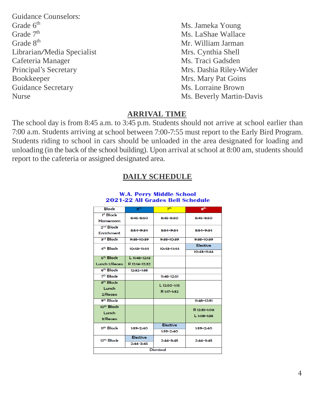- Guidance Counselors:<br>Grade 6<sup>th</sup> Grade 7<sup>th</sup> Grade 8<sup>th</sup> Mr. William Jarman Librarian/Media Specialist Mrs. Cynthia Shell<br>Cafeteria Manager Ms. Traci Gadsden Cafeteria Manager Principal's Secretary Mrs. Dashia Riley-Wider Bookkeeper Mrs. Mary Pat Goins Guidance Secretary Ms. Lorraine Brown Nurse Ms. Beverly Martin-Davis
	- Ms. Jameka Young Ms. LaShae Wallace

#### **ARRIVAL TIME**

The school day is from 8:45 a.m. to 3:45 p.m. Students should not arrive at school earlier than 7:00 a.m. Students arriving at school between 7:00-7:55 must report to the Early Bird Program. Students riding to school in cars should be unloaded in the area designated for loading and unloading (in the back of the school building). Upon arrival at school at 8:00 am, students should report to the cafeteria or assigned designated area.

#### $8<sup>th</sup>$ **Block**  $7<sup>th</sup>$  $I<sup>st</sup> Block$ 8:45-8:50 8:45-8:50 8:45-8:50 Homeroom 2<sup>nd</sup> Block 8:54-9:34 8:54-9:34 8:54-9:34 Enrichment 3rd Block 9:38-10:39 9:38-10:39 9:38-10:39 Flective 4<sup>th</sup> Block  $10:43 - 11:44$  $10:43 - 11:44$  $10:43 - 11:44$ 5<sup>th</sup> Block  $11.48 - 12.12$ R 12:14-12:32 **Lunch 1/Recess**  $6<sup>th</sup> Block$  $12:32-1:35$ 7<sup>th</sup> Block  $11:48-12:51$ s<sup>th</sup> Bloch 1-12-50-145 Lunch R 1:17-1:32 2/Recess 9th Block  $11:48 - 12:51$ 10<sup>th</sup> Block R 12:51-1:06 Lunch  $L 1:08-1:35$ 3/Recess Elective 11th Block  $1:39-2:40$  $1:39-2:40$  $1:39-2:40$ **Flective** 12<sup>th</sup> Block  $2:44 - 3:45$  $2:44 - 3:45$  $2:44 - 3:45$ Dismissal

#### **DAILY SCHEDULE**

#### **W.A. Perry Middle School** 2021-22 All Grades Bell Schedule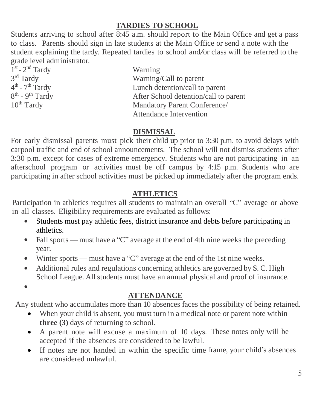# **TARDIES TO SCHOOL**

Students arriving to school after 8:45 a.m. should report to the Main Office and get a pass to class. Parents should sign in late students at the Main Office or send a note with the student explaining the tardy. Repeated tardies to school and/or class will be referred to the grade level administrator.

1<sup>st</sup> - 2<sup>nd</sup> Tardy Warning 3<sup>rd</sup> Tardy  $4^{\text{th}}$  - 7  $8^{\text{th}}$  - 9

Warning/Call to parent Lunch detention/call to parent  $8<sup>th</sup>$  -  $9<sup>th</sup>$  Tardy After School detention/call to parent 10<sup>th</sup> Tardy Mandatory Parent Conference/ Mandatory Parent Conference/ Attendance Intervention

# **DISMISSAL**

For early dismissal parents must pick their child up prior to 3:30 p.m. to avoid delays with carpool traffic and end of school announcements. The school will not dismiss students after 3:30 p.m. except for cases of extreme emergency. Students who are not participating in an afterschool program or activities must be off campus by 4:15 p.m. Students who are participating in after school activities must be picked up immediately after the program ends.

# **ATHLETICS**

Participation in athletics requires all students to maintain an overall "C" average or above in all classes. Eligibility requirements are evaluated as follows:

- Students must pay athletic fees, district insurance and debts before participating in athletics.
- Fall sports must have a "C" average at the end of 4th nine weeks the preceding year.
- Winter sports must have a "C" average at the end of the 1st nine weeks.
- Additional rules and regulations concerning athletics are governed by S. C. High School League. All students must have an annual physical and proof of insurance.

 $\bullet$ 

# **ATTENDANCE**

Any student who accumulates more than 10 absences faces the possibility of being retained.

- When your child is absent, you must turn in a medical note or parent note within **three (3)** days of returning to school.
- A parent note will excuse a maximum of 10 days. These notes only will be accepted if the absences are considered to be lawful.
- If notes are not handed in within the specific time frame, your child's absences are considered unlawful.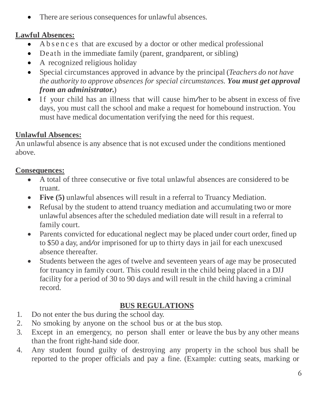There are serious consequences for unlawful absences.

# **Lawful Absences:**

- A b s e n c e s that are excused by a doctor or other medical professional
- Death in the immediate family (parent, grandparent, or sibling)
- A recognized religious holiday
- Special circumstances approved in advance by the principal (*Teachers do not have the authority to approve absences for special circumstances. You must get approval from an administrator.*)
- If your child has an illness that will cause him/her to be absent in excess of five days, you must call the school and make a request for homebound instruction. You must have medical documentation verifying the need for this request.

# **Unlawful Absences:**

An unlawful absence is any absence that is not excused under the conditions mentioned above.

# **Consequences:**

- A total of three consecutive or five total unlawful absences are considered to be truant.
- **Five (5)** unlawful absences will result in a referral to Truancy Mediation.
- Refusal by the student to attend truancy mediation and accumulating two or more unlawful absences after the scheduled mediation date will result in a referral to family court.
- Parents convicted for educational neglect may be placed under court order, fined up to \$50 <sup>a</sup> day, and/or imprisoned for up to thirty days in jail for each unexcused absence thereafter.
- Students between the ages of twelve and seventeen years of age may be prosecuted for truancy in family court. This could result in the child being placed in a DJJ facility for a period of 30 to 90 days and will result in the child having a criminal record.

# **BUS REGULATIONS**

- 1. Do not enter the bus during the school day.
- 2. No smoking by anyone on the school bus or at the bus stop.
- 3. Except in an emergency, no person shall enter or leave the bus by any other means than the front right-hand side door.
- 4. Any student found guilty of destroying any property in the school bus shall be reported to the proper officials and pay a fine. (Example: cutting seats, marking or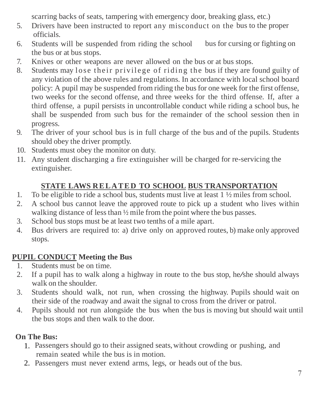scarring backs of seats, tampering with emergency door, breaking glass, etc.)

- 5. Drivers have been instructed to report any misconduct on the bus to the proper officials.
- 6. Students will be suspended from riding the school bus for cursing or fighting on the bus or at bus stops.
- 7. Knives or other weapons are never allowed on the bus or at bus stops.
- 8. Students may lose their privilege of riding the bus if they are found guilty of any violation of the above rules and regulations. In accordance with local school board policy: A pupil may be suspended from riding the bus for one week for the first offense, two weeks for the second offense, and three weeks for the third offense. If, after a third offense, a pupil persists in uncontrollable conduct while riding a school bus, he shall be suspended from such bus for the remainder of the school session then in progress.
- 9. The driver of your school bus is in full charge of the bus and of the pupils. Students should obey the driver promptly.
- 10. Students must obey the monitor on duty.
- 11. Any student discharging a fire extinguisher will be charged for re-servicing the extinguisher.

# **STATE LAWS R E L A T E D TO SCHOOL BUS TRANSPORTATION**

- 1. To be eligible to ride a school bus, students must live at least 1 ½ miles from school.
- 2. A school bus cannot leave the approved route to pick up a student who lives within walking distance of less than  $\frac{1}{2}$  mile from the point where the bus passes.
- 3. School bus stops must be at least two tenths of a mile apart.
- 4. Bus drivers are required to: a) drive only on approved routes, b) make only approved stops.

# **PUPIL CONDUCT Meeting the Bus**

- 1. Students must be on time.
- 2. If <sup>a</sup> pupil has to walk along <sup>a</sup> highway in route to the bus stop, he/she should always walk on the shoulder.
- 3. Students should walk, not run, when crossing the highway. Pupils should wait on their side of the roadway and await the signal to cross from the driver or patrol.
- 4. Pupils should not run alongside the bus when the bus is moving but should wait until the bus stops and then walk to the door.

# **On The Bus:**

- 1. Passengers should go to their assigned seats, without crowding or pushing, and remain seated while the bus is in motion.
- 2. Passengers must never extend arms, legs, or heads out of the bus.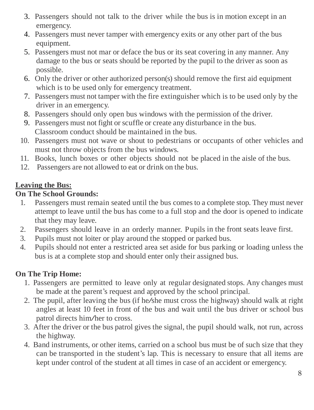- 3. Passengers should not talk to the driver while the bus is in motion except in an emergency.
- 4. Passengers must never tamper with emergency exits or any other part of the bus equipment.
- 5. Passengers must not mar or deface the bus or its seat covering in any manner. Any damage to the bus or seats should be reported by the pupil to the driver as soon as possible.
- 6. Only the driver or other authorized person(s) should remove the first aid equipment which is to be used only for emergency treatment.
- 7. Passengers must not tamper with the fire extinguisher which is to be used only by the driver in an emergency.
- 8. Passengers should only open bus windows with the permission of the driver.
- 9. Passengers must not fight or scuffle or create any disturbance in the bus. Classroom conduct should be maintained in the bus.
- 10. Passengers must not wave or shout to pedestrians or occupants of other vehicles and must not throw objects from the bus windows.
- 11. Books, lunch boxes or other objects should not be placed in the aisle of the bus.
- 12. Passengers are not allowed to eat or drink on the bus.

# **Leaving the Bus:**

# **On The School Grounds:**

- 1. Passengers must remain seated until the bus comes to a complete stop. They must never attempt to leave until the bus has come to a full stop and the door is opened to indicate that they may leave.
- 2. Passengers should leave in an orderly manner. Pupils in the front seats leave first.
- 3. Pupils must not loiter or play around the stopped or parked bus.
- 4. Pupils should not enter a restricted area set aside for bus parking or loading unless the bus is at a complete stop and should enter only their assigned bus.

# **On The Trip Home:**

- 1. Passengers are permitted to leave only at regular designated stops. Any changes must be made at the parent's request and approved by the school principal.
- 2. The pupil, after leaving the bus (if he/she must cross the highway) should walk at right angles at least 10 feet in front of the bus and wait until the bus driver or school bus patrol directs him/her to cross.
- 3. After the driver or the bus patrol gives the signal, the pupil should walk, not run, across the highway.
- 4. Band instruments, or other items, carried on a school bus must be of such size that they can be transported in the student's lap. This is necessary to ensure that all items are kept under control of the student at all times in case of an accident or emergency.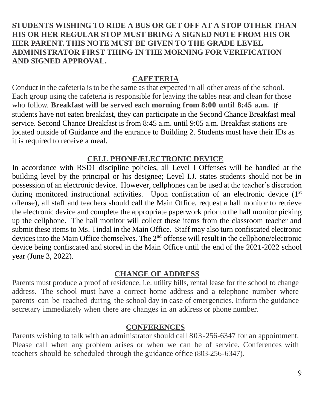#### **STUDENTS WISHING TO RIDE A BUS OR GET OFF AT A STOP OTHER THAN HIS OR HER REGULAR STOP MUST BRING A SIGNED NOTE FROM HIS OR HER PARENT. THIS NOTE MUST BE GIVEN TO THE GRADE LEVEL ADMINISTRATOR FIRST THING IN THE MORNING FOR VERIFICATION AND SIGNED APPROVAL.**

#### **CAFETERIA**

Conduct in the cafeteria isto be the same asthat expected in all other areas of the school. Each group using the cafeteria is responsible for leaving the tables neat and clean for those who follow. **Breakfast will be served each morning from 8:00 until 8:45 a.m.** If students have not eaten breakfast, they can participate in the Second Chance Breakfast meal service. Second Chance Breakfast is from 8:45 a.m. until 9:05 a.m. Breakfast stations are located outside of Guidance and the entrance to Building 2. Students must have their IDs as it is required to receive a meal.

# **CELL PHONE/ELECTRONIC DEVICE**

In accordance with RSD1 discipline policies, all Level I Offenses will be handled at the building level by the principal or his designee; Level I.J. states students should not be in possession of an electronic device. However, cellphones can be used at the teacher's discretion during monitored instructional activities. Upon confiscation of an electronic device  $(1<sup>st</sup>)$ offense), all staff and teachers should call the Main Office, request a hall monitor to retrieve the electronic device and complete the appropriate paperwork prior to the hall monitor picking up the cellphone. The hall monitor will collect these items from the classroom teacher and submit these items to Ms. Tindal in the Main Office. Staff may also turn confiscated electronic devices into the Main Office themselves. The 2<sup>nd</sup> offense will result in the cellphone/electronic device being confiscated and stored in the Main Office until the end of the 2021-2022 school year (June 3, 2022).

#### **CHANGE OF ADDRESS**

Parents must produce a proof of residence, i.e. utility bills, rental lease for the school to change address. The school must have a correct home address and a telephone number where parents can be reached during the school day in case of emergencies. Inform the guidance secretary immediately when there are changes in an address or phone number.

#### **CONFERENCES**

Parents wishing to talk with an administrator should call 803-256-6347 for an appointment. Please call when any problem arises or when we can be of service. Conferences with teachers should be scheduled through the guidance office (803-256-6347).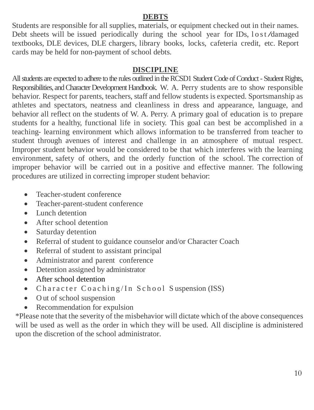#### **DEBTS**

Students are responsible for all supplies, materials, or equipment checked out in their names. Debt sheets will be issued periodically during the school year for IDs, lost/damaged textbooks, DLE devices, DLE chargers, library books, locks, cafeteria credit, etc. Report cards may be held for non-payment of school debts.

#### **DISCIPLINE**

All students are expected to adhere to the rules outlined in the RCSD1 Student Code of Conduct - Student Rights, Responsibilities, and Character Development Handbook. W. A. Perry students are to show responsible behavior. Respect for parents, teachers, staff and fellow students is expected. Sportsmanship as athletes and spectators, neatness and cleanliness in dress and appearance, language, and behavior all reflect on the students of W. A. Perry. A primary goal of education is to prepare students for a healthy, functional life in society. This goal can best be accomplished in a teaching- learning environment which allows information to be transferred from teacher to student through avenues of interest and challenge in an atmosphere of mutual respect. Improper student behavior would be considered to be that which interferes with the learning environment, safety of others, and the orderly function of the school. The correction of improper behavior will be carried out in a positive and effective manner. The following procedures are utilized in correcting improper student behavior:

- Teacher-student conference
- Teacher-parent-student conference
- Lunch detention
- After school detention
- Saturday detention
- Referral of student to guidance counselor and/or Character Coach
- Referral of student to assistant principal
- Administrator and parent conference
- Detention assigned by administrator
- After school detention
- Character Coaching/In School Suspension (ISS)
- Out of school suspension
- Recommendation for expulsion

\*Please note that the severity of the misbehavior will dictate which of the above consequences will be used as well as the order in which they will be used. All discipline is administered upon the discretion of the school administrator.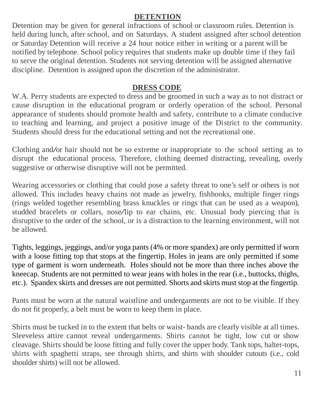#### **DETENTION**

Detention may be given for general infractions of school or classroom rules. Detention is held during lunch, after school, and on Saturdays. A student assigned after school detention or Saturday Detention will receive a 24 hour notice either in writing or a parent will be notified by telephone. School policy requires that students make up double time if they fail to serve the original detention. Students not serving detention will be assigned alternative discipline. Detention is assigned upon the discretion of the administrator.

#### **DRESS CODE**

W.A. Perry students are expected to dress and be groomed in such a way as to not distract or cause disruption in the educational program or orderly operation of the school. Personal appearance of students should promote health and safety, contribute to a climate conducive to teaching and learning, and project a positive image of the District to the community. Students should dress for the educational setting and not the recreational one.

Clothing and/or hair should not be so extreme or inappropriate to the school setting as to disrupt the educational process. Therefore, clothing deemed distracting, revealing, overly suggestive or otherwise disruptive will not be permitted.

Wearing accessories or clothing that could pose a safety threat to one's self or others is not allowed. This includes heavy chains not made as jewelry, fishhooks, multiple finger rings (rings welded together resembling brass knuckles or rings that can be used as a weapon), studded bracelets or collars, nose/lip to ear chains, etc. Unusual body piercing that is disruptive to the order of the school, or is a distraction to the learning environment, will not be allowed.

Tights, leggings, jeggings, and/or yoga pants (4% or more spandex) are only permitted if worn with a loose fitting top that stops at the fingertip. Holes in jeans are only permitted if some type of garment is worn underneath. Holes should not be more than three inches above the kneecap. Students are not permitted to wear jeans with holes in the rear (i.e., buttocks, thighs, etc.). Spandex skirts and dresses are not permitted. Shorts and skirts must stop at the fingertip.

Pants must be worn at the natural waistline and undergarments are not to be visible. If they do not fit properly, a belt must be worn to keep them in place.

Shirts must be tucked in to the extent that belts or waist- bands are clearly visible at all times. Sleeveless attire cannot reveal undergarments. Shirts cannot be tight, low cut or show cleavage. Shirts should be loose fitting and fully cover the upper body. Tank tops, halter-tops, shirts with spaghetti straps, see through shirts, and shirts with shoulder cutouts (i.e., cold shoulder shirts) will not be allowed.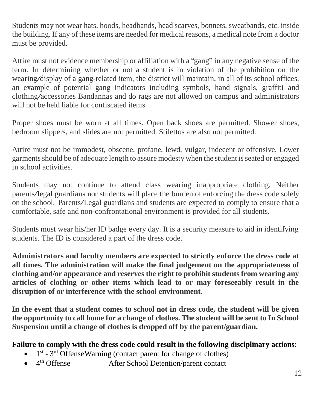Students may not wear hats, hoods, headbands, head scarves, bonnets, sweatbands, etc. inside the building. If any of these items are needed for medical reasons, a medical note from a doctor must be provided.

Attire must not evidence membership or affiliation with a "gang" in any negative sense of the term. In determining whether or not a student is in violation of the prohibition on the wearing/display of <sup>a</sup> gang-related item, the district will maintain, in all of its school offices, an example of potential gang indicators including symbols, hand signals, graffiti and clothing/accessories Bandannas and do rags are not allowed on campus and administrators will not be held liable for confiscated items

Proper shoes must be worn at all times. Open back shoes are permitted. Shower shoes, bedroom slippers, and slides are not permitted. Stilettos are also not permitted.

.

Attire must not be immodest, obscene, profane, lewd, vulgar, indecent or offensive. Lower garments should be of adequate length to assure modesty when the student is seated or engaged in school activities.

Students may not continue to attend class wearing inappropriate clothing. Neither parents/legal guardians nor students will place the burden of enforcing the dress code solely on the school. Parents/Legal guardians and students are expected to comply to ensure that a comfortable, safe and non-confrontational environment is provided for all students.

Students must wear his/her ID badge every day. It is a security measure to aid in identifying students. The ID is considered a part of the dress code.

**Administrators and faculty members are expected to strictly enforce the dress code at all times. The administration will make the final judgement on the appropriateness of clothing and/or appearance and reserves the right to prohibit students from wearing any articles of clothing or other items which lead to or may foreseeably result in the disruption of or interference with the school environment.**

**In the event that a student comes to school not in dress code, the student will be given the opportunity to call home for a change of clothes. The student will be sent to In School Suspension until a change of clothes is dropped off by the parent/guardian.**

# **Failure to comply with the dress code could result in the following disciplinary actions**:

- $\bullet$  1<sup>st</sup> 3<sup>rd</sup> Offense Warning (contact parent for change of clothes)
- $\bullet$  4<sup>th</sup> Offense After School Detention/parent contact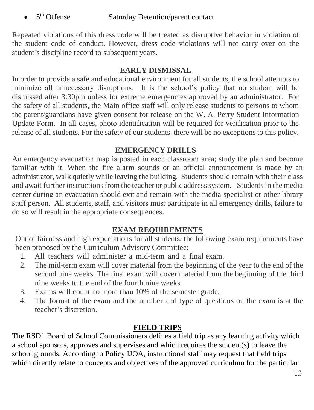$\bullet$  5<sup>th</sup> Offense Saturday Detention/parent contact

Repeated violations of this dress code will be treated as disruptive behavior in violation of the student code of conduct. However, dress code violations will not carry over on the student's discipline record to subsequent years.

# **EARLY DISMISSAL**

In order to provide a safe and educational environment for all students, the school attempts to minimize all unnecessary disruptions. It is the school's policy that no student will be dismissed after 3:30pm unless for extreme emergencies approved by an administrator. For the safety of all students, the Main office staff will only release students to persons to whom the parent/guardians have given consent for release on the W. A. Perry Student Information Update Form. In all cases, photo identification will be required for verification prior to the release of all students. For the safety of our students, there will be no exceptions to this policy.

# **EMERGENCY DRILLS**

An emergency evacuation map is posted in each classroom area; study the plan and become familiar with it. When the fire alarm sounds or an official announcement is made by an administrator, walk quietly while leaving the building. Students should remain with their class and await further instructions from the teacher or public address system. Students in the media center during an evacuation should exit and remain with the media specialist or other library staff person. All students, staff, and visitors must participate in all emergency drills, failure to do so will result in the appropriate consequences.

# **EXAM REQUIREMENTS**

Out of fairness and high expectations for all students, the following exam requirements have been proposed by the Curriculum Advisory Committee:

- 1. All teachers will administer a mid-term and a final exam.
- 2. The mid-term exam will cover material from the beginning of the year to the end of the second nine weeks. The final exam will cover material from the beginning of the third nine weeks to the end of the fourth nine weeks.
- 3. Exams will count no more than 10% of the semester grade.
- 4. The format of the exam and the number and type of questions on the exam is at the teacher's discretion.

# **FIELD TRIPS**

The RSD1 Board of School Commissioners defines a field trip as any learning activity which a school sponsors, approves and supervises and which requires the student(s) to leave the school grounds. According to Policy IJOA, instructional staff may request that field trips which directly relate to concepts and objectives of the approved curriculum for the particular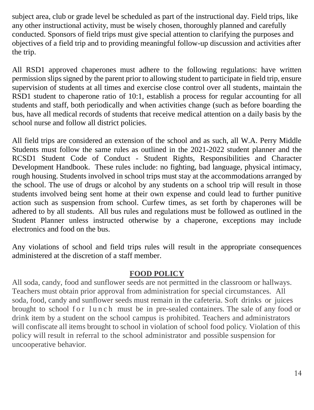subject area, club or grade level be scheduled as part of the instructional day. Field trips, like any other instructional activity, must be wisely chosen, thoroughly planned and carefully conducted. Sponsors of field trips must give special attention to clarifying the purposes and objectives of a field trip and to providing meaningful follow-up discussion and activities after the trip.

All RSD1 approved chaperones must adhere to the following regulations: have written permission slips signed by the parent prior to allowing student to participate in field trip, ensure supervision of students at all times and exercise close control over all students, maintain the RSD1 student to chaperone ratio of 10:1, establish a process for regular accounting for all students and staff, both periodically and when activities change (such as before boarding the bus, have all medical records of students that receive medical attention on a daily basis by the school nurse and follow all district policies.

All field trips are considered an extension of the school and as such, all W.A. Perry Middle Students must follow the same rules as outlined in the 2021-2022 student planner and the RCSD1 Student Code of Conduct - Student Rights, Responsibilities and Character Development Handbook. These rules include: no fighting, bad language, physical intimacy, rough housing. Students involved in school trips must stay at the accommodations arranged by the school. The use of drugs or alcohol by any students on a school trip will result in those students involved being sent home at their own expense and could lead to further punitive action such as suspension from school. Curfew times, as set forth by chaperones will be adhered to by all students. All bus rules and regulations must be followed as outlined in the Student Planner unless instructed otherwise by a chaperone, exceptions may include electronics and food on the bus.

Any violations of school and field trips rules will result in the appropriate consequences administered at the discretion of a staff member.

#### **FOOD POLICY**

All soda, candy, food and sunflower seeds are not permitted in the classroom or hallways. Teachers must obtain prior approval from administration for special circumstances. All soda, food, candy and sunflower seeds must remain in the cafeteria. Soft drinks or juices brought to school f o r l u n c h must be in pre-sealed containers. The sale of any food or drink item by a student on the school campus is prohibited. Teachers and administrators will confiscate all items brought to school in violation of school food policy. Violation of this policy will result in referral to the school administrator and possible suspension for uncooperative behavior.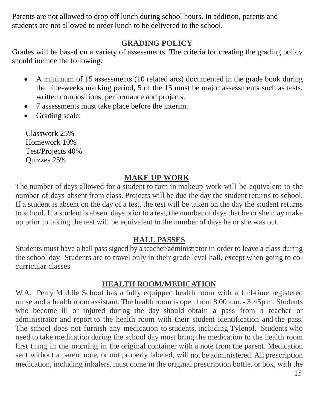Parents are not allowed to drop off lunch during school hours. In addition, parents and students are not allowed to order lunch to be delivered to the school.

#### **GRADING POLICY**

Grades will be based on a variety of assessments. The criteria for creating the grading policy should include the following:

- A minimum of 15 assessments (10 related arts) documented in the grade book during the nine-weeks marking period, 5 of the 15 must be major assessments such as tests, written compositions, performance and projects.
- 7 assessments must take place before the interim.
- Grading scale:

Classwork 25% Homework 10% Test/Projects 40% Quizzes 25%

# **MAKE UP WORK**

The number of days allowed for a student to turn in makeup work will be equivalent to the number of days absent from class. Projects will be due the day the student returns to school. If a student is absent on the day of a test, the test will be taken on the day the student returns to school. If a student is absent days prior to a test, the number of days that he or she may make up prior to taking the test will be equivalent to the number of days he or she was out.

# **HALL PASSES**

Students must have a hall pass signed by a teacher/administrator in order to leave a class during the school day. Students are to travel only in their grade level hall, except when going to cocurricular classes.

# **HEALTH ROOM/MEDICATION**

W.A. Perry Middle School has a fully equipped health room with a full-time registered nurse and a health room assistant. The health room is open from 8:00 a.m.- 3:45p.m. Students who become ill or injured during the day should obtain a pass from a teacher or administrator and report to the health room with their student identification and the pass. The school does not furnish any medication to students, including Tylenol. Students who need to take medication during the school day must bring the medication to the health room first thing in the morning in the original container with a note from the parent. Medication sent without a parent note, or not properly labeled, will not be administered. All prescription medication, including inhalers, must come in the original prescription bottle, or box, with the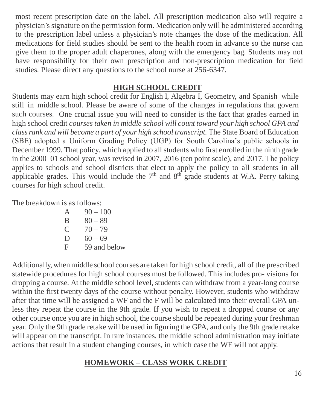most recent prescription date on the label. All prescription medication also will require a physician's signature on the permission form. Medication only will be administered according to the prescription label unless a physician's note changes the dose of the medication. All medications for field studies should be sent to the health room in advance so the nurse can give them to the proper adult chaperones, along with the emergency bag. Students may not have responsibility for their own prescription and non-prescription medication for field studies. Please direct any questions to the school nurse at 256-6347.

#### **HIGH SCHOOL CREDIT**

Students may earn high school credit for English I, Algebra I, Geometry, and Spanish while still in middle school. Please be aware of some of the changes in regulations that govern such courses. One crucial issue you will need to consider is the fact that grades earned in high school credit *courses taken in middle school will count toward your high school GPA and classrank and will become a part of your high school transcript.* The State Board of Education (SBE) adopted a Uniform Grading Policy (UGP) for South Carolina's public schools in December 1999. That policy, which applied to all students who first enrolled in the ninth grade in the 2000–01 school year, was revised in 2007, 2016 (ten point scale), and 2017. The policy applies to schools and school districts that elect to apply the policy to all students in all applicable grades. This would include the  $7<sup>th</sup>$  and  $8<sup>th</sup>$  grade students at W.A. Perry taking courses for high school credit.

The breakdown is as follows:

| $\mathsf{A}$ | $90 - 100$   |
|--------------|--------------|
| B            | $80 - 89$    |
| $\mathbf C$  | $70 - 79$    |
| $\vert$      | $60 - 69$    |
| F            | 59 and below |
|              |              |

Additionally, when middle school courses are taken for high school credit, all of the prescribed statewide procedures for high school courses must be followed. This includes pro- visions for dropping a course. At the middle school level, students can withdraw from a year-long course within the first twenty days of the course without penalty. However, students who withdraw after that time will be assigned a WF and the F will be calculated into their overall GPA unless they repeat the course in the 9th grade. If you wish to repeat a dropped course or any other course once you are in high school, the course should be repeated during your freshman year. Only the 9th grade retake will be used in figuring the GPA, and only the 9th grade retake will appear on the transcript. In rare instances, the middle school administration may initiate actions that result in a student changing courses, in which case the WF will not apply.

# **HOMEWORK – CLASS WORK CREDIT**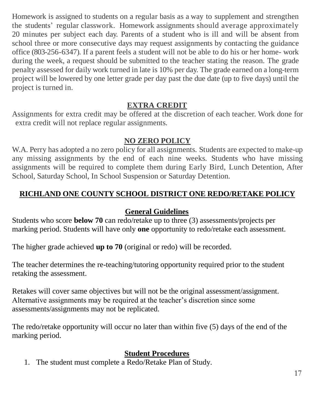Homework is assigned to students on a regular basis as a way to supplement and strengthen the students' regular classwork. Homework assignments should average approximately 20 minutes per subject each day. Parents of a student who is ill and will be absent from school three or more consecutive days may request assignments by contacting the guidance office (803-256-6347). If a parent feels a student will not be able to do his or her home- work during the week, a request should be submitted to the teacher stating the reason. The grade penalty assessed for daily work turned in late is 10% per day. The grade earned on a long-term project will be lowered by one letter grade per day past the due date (up to five days) until the project is turned in.

# **EXTRA CREDIT**

Assignments for extra credit may be offered at the discretion of each teacher. Work done for extra credit will not replace regular assignments.

# **NO ZERO POLICY**

W.A. Perry has adopted a no zero policy for all assignments. Students are expected to make-up any missing assignments by the end of each nine weeks. Students who have missing assignments will be required to complete them during Early Bird, Lunch Detention, After School, Saturday School, In School Suspension or Saturday Detention.

# **RICHLAND ONE COUNTY SCHOOL DISTRICT ONE REDO/RETAKE POLICY**

#### **General Guidelines**

Students who score **below 70** can redo/retake up to three (3) assessments/projects per marking period. Students will have only **one** opportunity to redo/retake each assessment.

The higher grade achieved **up to 70** (original or redo) will be recorded.

The teacher determines the re-teaching/tutoring opportunity required prior to the student retaking the assessment.

Retakes will cover same objectives but will not be the original assessment/assignment. Alternative assignments may be required at the teacher's discretion since some assessments/assignments may not be replicated.

The redo/retake opportunity will occur no later than within five (5) days of the end of the marking period.

#### **Student Procedures**

1. The student must complete a Redo/Retake Plan of Study.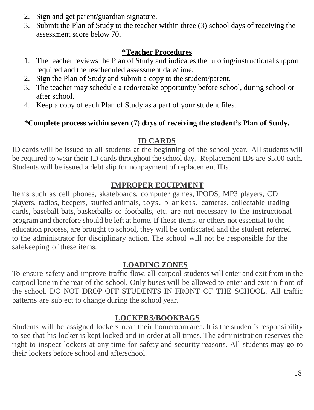- 2. Sign and get parent/guardian signature.
- 3. Submit the Plan of Study to the teacher within three (3) school days of receiving the assessment score below 70**.**

#### **\*Teacher Procedures**

- 1. The teacher reviews the Plan of Study and indicates the tutoring/instructional support required and the rescheduled assessment date/time.
- 2. Sign the Plan of Study and submit a copy to the student/parent.
- 3. The teacher may schedule a redo/retake opportunity before school, during school or after school.
- 4. Keep a copy of each Plan of Study as a part of your student files.

# **\*Complete process within seven (7) days of receiving the student's Plan of Study.**

# **ID CARDS**

ID cards will be issued to all students at the beginning of the school year. All students will be required to wear their ID cards throughout the school day. Replacement IDs are \$5.00 each. Students will be issued a debt slip for nonpayment of replacement IDs.

# **IMPROPER EQUIPMENT**

Items such as cell phones, skateboards, computer games, IPODS, MP3 players, CD players, radios, beepers, stuffed animals, toys, blankets, cameras, collectable trading cards, baseball bats, basketballs or footballs, etc. are not necessary to the instructional program and therefore should be left at home. If these items, or others not essential to the education process, are brought to school, they will be confiscated and the student referred to the administrator for disciplinary action. The school will not be responsible for the safekeeping of these items.

# **LOADING ZONES**

To ensure safety and improve traffic flow, all carpool students will enter and exit from in the carpool lane in the rear of the school. Only buses will be allowed to enter and exit in front of the school. DO NOT DROP OFF STUDENTS IN FRONT OF THE SCHOOL. All traffic patterns are subject to change during the school year.

# **LOCKERS/BOOKBAGS**

Students will be assigned lockers near their homeroom area. It is the student's responsibility to see that his locker is kept locked and in order at all times. The administration reserves the right to inspect lockers at any time for safety and security reasons. All students may go to their lockers before school and afterschool.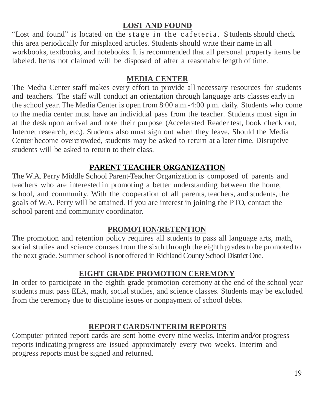# **LOST AND FOUND**

"Lost and found" is located on the stage in the cafeteria. Students should check this area periodically for misplaced articles. Students should write their name in all workbooks, textbooks, and notebooks. It is recommended that all personal property items be labeled. Items not claimed will be disposed of after a reasonable length of time.

#### **MEDIA CENTER**

The Media Center staff makes every effort to provide all necessary resources for students and teachers. The staff will conduct an orientation through language arts classes early in the school year. The Media Center is open from 8:00 a.m.-4:00 p.m. daily. Students who come to the media center must have an individual pass from the teacher. Students must sign in at the desk upon arrival and note their purpose (Accelerated Reader test, book check out, Internet research, etc.). Students also must sign out when they leave. Should the Media Center become overcrowded, students may be asked to return at a later time. Disruptive students will be asked to return to their class.

# **PARENT TEACHER ORGANIZATION**

The W.A. Perry Middle School Parent-Teacher Organization is composed of parents and teachers who are interested in promoting a better understanding between the home, school, and community. With the cooperation of all parents, teachers, and students, the goals of W.A. Perry will be attained. If you are interest in joining the PTO, contact the school parent and community coordinator.

# **PROMOTION/RETENTION**

The promotion and retention policy requires all students to pass all language arts, math, social studies and science courses from the sixth through the eighth grades to be promoted to the next grade. Summer school is not offered in Richland County School District One.

# **EIGHT GRADE PROMOTION CEREMONY**

In order to participate in the eighth grade promotion ceremony at the end of the school year students must pass ELA, math, social studies, and science classes. Students may be excluded from the ceremony due to discipline issues or nonpayment of school debts.

# **REPORT CARDS/INTERIM REPORTS**

Computer printed report cards are sent home every nine weeks. Interim and/or progress reports indicating progress are issued approximately every two weeks. Interim and progress reports must be signed and returned.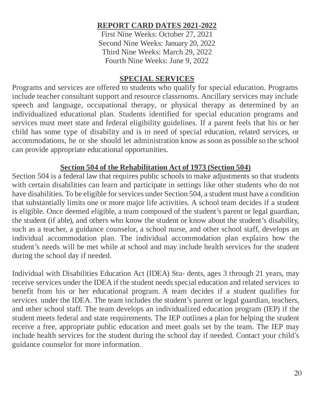#### **REPORT CARD DATES 2021-2022**

First Nine Weeks: October 27, 2021 Second Nine Weeks: January 20, 2022 Third Nine Weeks: March 29, 2022 Fourth Nine Weeks: June 9, 2022

#### **SPECIAL SERVICES**

Programs and services are offered to students who qualify for special education. Programs include teacher consultant support and resource classrooms. Ancillary services may include speech and language, occupational therapy, or physical therapy as determined by an individualized educational plan. Students identified for special education programs and services must meet state and federal eligibility guidelines. If a parent feels that his or her child has some type of disability and is in need of special education, related services, or accommodations, he or she should let administration know as soon as possible so the school can provide appropriate educational opportunities.

#### **Section 504 of the Rehabilitation Act of 1973 (Section 504)**

Section 504 is a federal law that requires public schools to make adjustments so that students with certain disabilities can learn and participate in settings like other students who do not have disabilities. To be eligible for services under Section 504, a student must have a condition that substantially limits one or more major life activities. A school team decides if a student is eligible. Once deemed eligible, a team composed of the student's parent or legal guardian, the student (if able), and others who know the student or know about the student's disability, such as a teacher, a guidance counselor, a school nurse, and other school staff, develops an individual accommodation plan. The individual accommodation plan explains how the student's needs will be met while at school and may include health services for the student during the school day if needed.

Individual with Disabilities Education Act (IDEA) Stu- dents, ages 3 through 21 years, may receive services under the IDEA if the student needs special education and related services to benefit from his or her educational program. A team decides if a student qualifies for services under the IDEA. The team includes the student's parent or legal guardian, teachers, and other school staff. The team develops an individualized education program (IEP) if the student meets federal and state requirements. The IEP outlines a plan for helping the student receive a free, appropriate public education and meet goals set by the team. The IEP may include health services for the student during the school day if needed. Contact your child's guidance counselor for more information.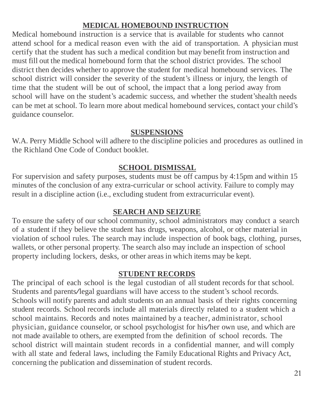#### **MEDICAL HOMEBOUND INSTRUCTION**

Medical homebound instruction is a service that is available for students who cannot attend school for a medical reason even with the aid of transportation. A physician must certify that the student has such a medical condition but may benefit from instruction and must fill out the medical homebound form that the school district provides. The school district then decides whether to approve the student for medical homebound services. The school district will consider the severity of the student's illness or injury, the length of time that the student will be out of school, the impact that a long period away from school will have on the student's academic success, and whether the student'shealth needs can be met at school. To learn more about medical homebound services, contact your child's guidance counselor.

#### **SUSPENSIONS**

W.A. Perry Middle School will adhere to the discipline policies and procedures as outlined in the Richland One Code of Conduct booklet.

#### **SCHOOL DISMISSAL**

For supervision and safety purposes, students must be off campus by 4:15pm and within 15 minutes of the conclusion of any extra-curricular or school activity. Failure to comply may result in a discipline action (i.e., excluding student from extracurricular event).

#### **SEARCH AND SEIZURE**

To ensure the safety of our school community, school administrators may conduct a search of a student if they believe the student has drugs, weapons, alcohol, or other material in violation of school rules. The search may include inspection of book bags, clothing, purses, wallets, or other personal property. The search also may include an inspection of school property including lockers, desks, or other areas in which items may be kept.

#### **STUDENT RECORDS**

The principal of each school is the legal custodian of all student records for that school. Students and parents/legal guardians will have access to the student's school records. Schools will notify parents and adult students on an annual basis of their rights concerning student records. School records include all materials directly related to a student which a school maintains. Records and notes maintained by a teacher, administrator, school physician, guidance counselor, or school psychologist for his/her own use, and which are not made available to others, are exempted from the definition of school records. The school district will maintain student records in a confidential manner, and will comply with all state and federal laws, including the Family Educational Rights and Privacy Act, concerning the publication and dissemination of student records.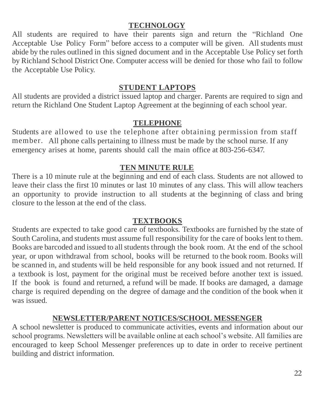# **TECHNOLOGY**

All students are required to have their parents sign and return the "Richland One Acceptable Use Policy Form" before access to a computer will be given. All students must abide by the rules outlined in this signed document and in the Acceptable Use Policy set forth by Richland School District One. Computer access will be denied for those who fail to follow the Acceptable Use Policy.

#### **STUDENT LAPTOPS**

All students are provided a district issued laptop and charger. Parents are required to sign and return the Richland One Student Laptop Agreement at the beginning of each school year.

#### **TELEPHONE**

Students are allowed to use the telephone after obtaining permission from staff member. All phone calls pertaining to illness must be made by the school nurse. If any emergency arises at home, parents should call the main office at 803-256-6347.

#### **TEN MINUTE RULE**

There is a 10 minute rule at the beginning and end of each class. Students are not allowed to leave their class the first 10 minutes or last 10 minutes of any class. This will allow teachers an opportunity to provide instruction to all students at the beginning of class and bring closure to the lesson at the end of the class.

#### **TEXTBOOKS**

Students are expected to take good care of textbooks. Textbooks are furnished by the state of South Carolina, and students must assume full responsibility for the care of books lent to them. Books are barcoded and issued to all students through the book room. At the end of the school year, or upon withdrawal from school, books will be returned to the book room. Books will be scanned in, and students will be held responsible for any book issued and not returned. If a textbook is lost, payment for the original must be received before another text is issued. If the book is found and returned, a refund will be made. If books are damaged, a damage charge is required depending on the degree of damage and the condition of the book when it was issued.

#### **NEWSLETTER/PARENT NOTICES/SCHOOL MESSENGER**

A school newsletter is produced to communicate activities, events and information about our school programs. Newsletters will be available online at each school's website. All families are encouraged to keep School Messenger preferences up to date in order to receive pertinent building and district information.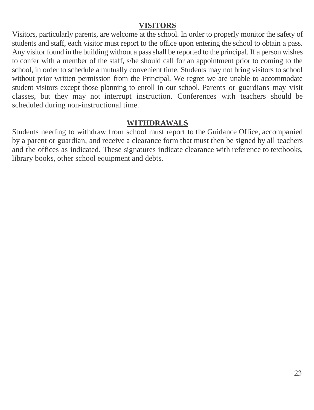#### **VISITORS**

Visitors, particularly parents, are welcome at the school. In order to properly monitor the safety of students and staff, each visitor must report to the office upon entering the school to obtain a pass. Any visitor found in the building without a pass shall be reported to the principal. If a person wishes to confer with a member of the staff, s/he should call for an appointment prior to coming to the school, in order to schedule a mutually convenient time. Students may not bring visitors to school without prior written permission from the Principal. We regret we are unable to accommodate student visitors except those planning to enroll in our school. Parents or guardians may visit classes, but they may not interrupt instruction. Conferences with teachers should be scheduled during non-instructional time.

#### **WITHDRAWALS**

Students needing to withdraw from school must report to the Guidance Office, accompanied by a parent or guardian, and receive a clearance form that must then be signed by all teachers and the offices as indicated. These signatures indicate clearance with reference to textbooks, library books, other school equipment and debts.